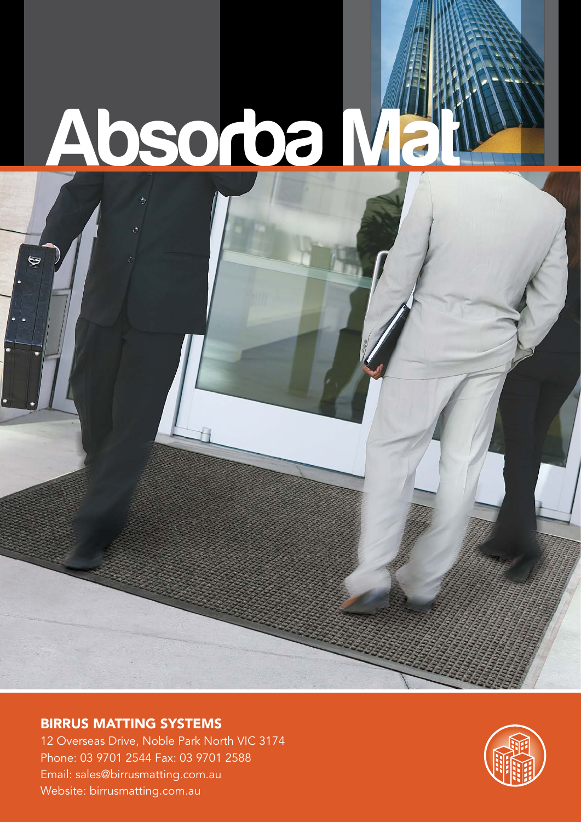## **Absorba Mat**

#### BIRRUS MATTING SYSTEMS

G

12 Overseas Drive, Noble Park North VIC 3174 Phone: 03 9701 2544 Fax: 03 9701 2588 Email: sales@birrusmatting.com.au Website: birrusmatting.com.au